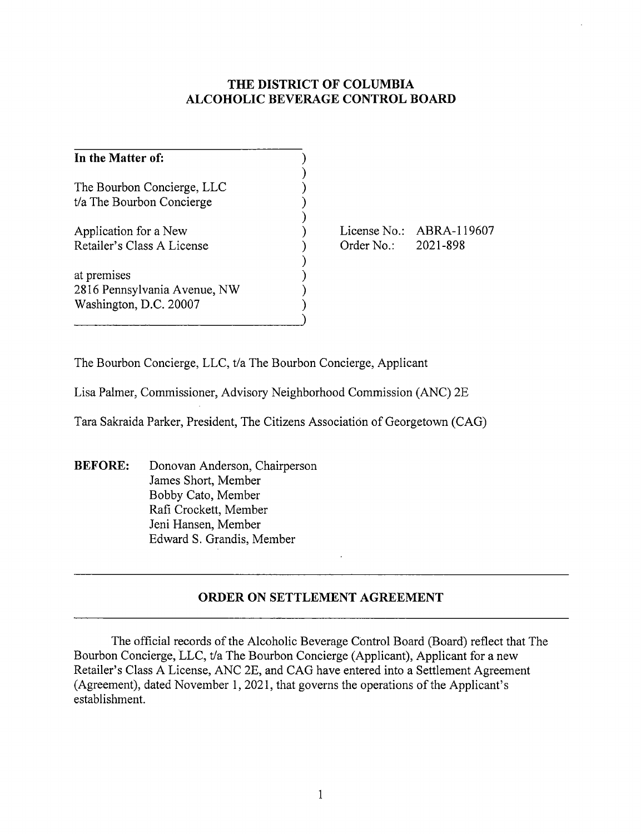## **THE DISTRICT OF COLUMBIA ALCOHOLIC BEVERAGE CONTROL BOARD**

| In the Matter of:                                                     |  |
|-----------------------------------------------------------------------|--|
| The Bourbon Concierge, LLC<br>t/a The Bourbon Concierge               |  |
| Application for a New<br>Retailer's Class A License                   |  |
| at premises<br>2816 Pennsylvania Avenue, NW<br>Washington, D.C. 20007 |  |

License No.: ABRA-119607 Order No.: 2021-898

The Bourbon Concierge, LLC, t/a The Bourbon Concierge, Applicant

Lisa Palmer, Commissioner, Advisory Neighborhood Commission (ANC) 2E

Tara Sakraida Parker, President, The Citizens Association of Georgetown (CAG)

**BEFORE:** Donovan Anderson, Chairperson James Short, Member Bobby Cato, Member Rafi Crockett, Member Jeni Hansen, Member Edward S. Grandis, Member

## **ORDER ON SETTLEMENT AGREEMENT**

The official records of the Alcoholic Beverage Control Board (Board) reflect that The Bourbon Concierge, LLC, t/a The Bourbon Concierge (Applicant), Applicant for a new Retailer's Class A License, ANC 2E, and CAG have entered into a Settlement Agreement (Agreement), dated November 1, 2021, that governs the operations of the Applicant's establishment.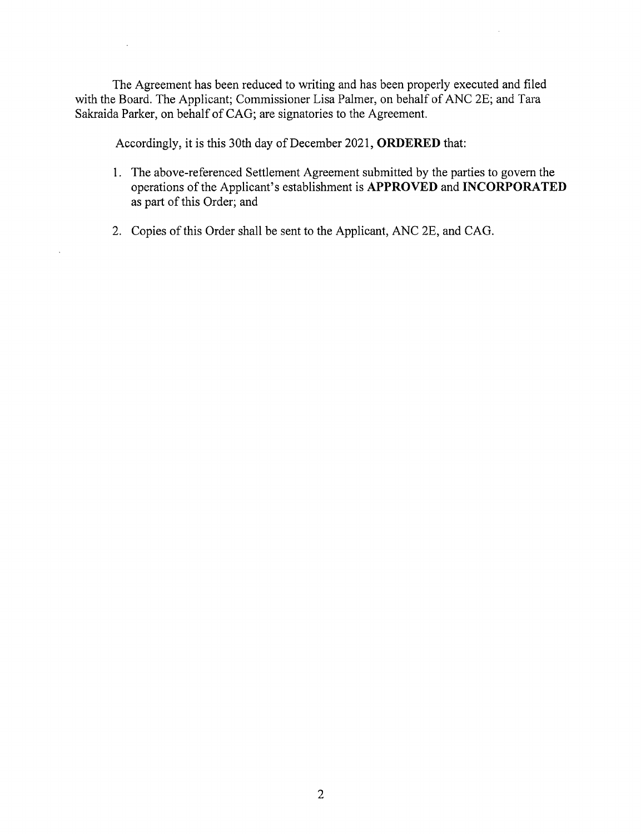The Agreement has been reduced to writing and has been properly executed and filed with the Board. The Applicant; Commissioner Lisa Palmer, on behalf of ANC 2E; and Tara Sakraida Parker, on behalf of CAG; are signatories to the Agreement.

Accordingly, it is this 30th day of December 2021, **ORDERED** that:

- 1. The above-referenced Settlement Agreement submitted by the parties to govern the operations of the Applicant's establishment is **APPROVED** and **INCORPORATED**  as part of this Order; and
- 2. Copies of this Order shall be sent to the Applicant, ANC 2E, and CAG.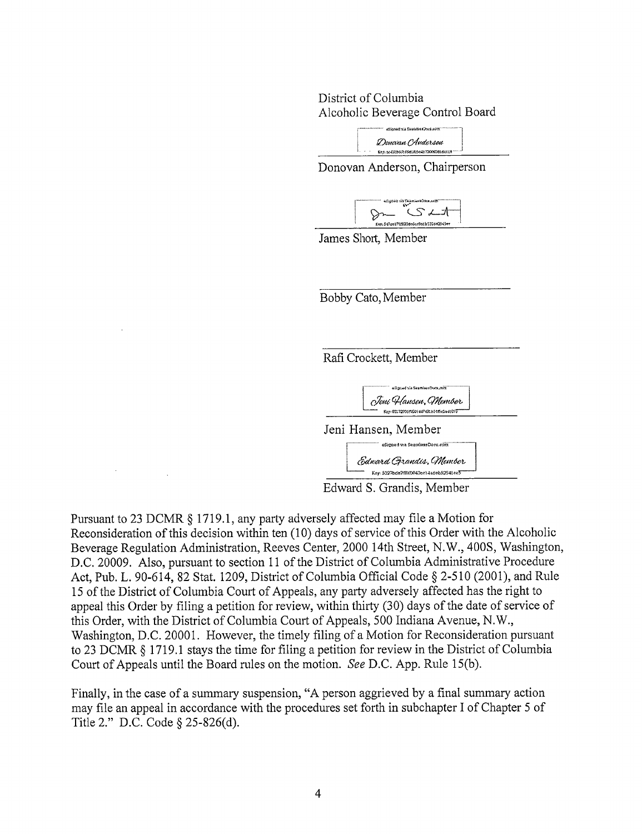District of Columbia Alcoholic Beverage Control Board

> ~f,Jf»:I *Y\_.* r,.,:,,.Cu!~U~\$XO'lrr···~••····~• ..... 1 */Z)c,,eU-Ut of,,d,;1,<Jmt* i te:7, ::,c,t;.::,,'....,1.t<".AS~M-e.;!;:'/'XlOl'.Odldv.c:!'I ..... \_j

Donovan Anderson, Chairperson



James Short, Member



Edward S. Grandis, Member

Pursuant to 23 DCMR § 1719.1, any party adversely affected may file a Motion for Reconsideration of this decision within ten (10) days of service of this Order with the Alcoholic Beverage Regulation Administration, Reeves Center, 2000 14th Street, N.W., 400S, Washington, D.C. 20009. Also, pursuant to section 11 of the District of Columbia Administrative Procedure Act, Pub. L. 90-614, 82 Stat. 1209, District of Columbia Official Code§ 2-510 (2001), and Rule 15 of the District of Columbia Court of Appeals, any party adversely affected has the right to appeal this Order by filing a petition for review, within thirty (30) days of the date of service of this Order, with the District of Columbia Court of Appeals, 500 Indiana Avenue, N.W., Washington, D.C. 20001. However, the timely filing of a Motion for Reconsideration pursuant to 23 DCMR § 1719.1 stays the time for filing a petition for review in the District of Columbia Court of Appeals until the Board rules on the motion. *See* D.C. App. Rule 15(b).

Finally, in the case of a summary suspension, "A person aggrieved by a final summary action may file an appeal in accordance with the procedures set forth in subchapter I of Chapter 5 of Title 2." D.C. Code§ 25-826(d).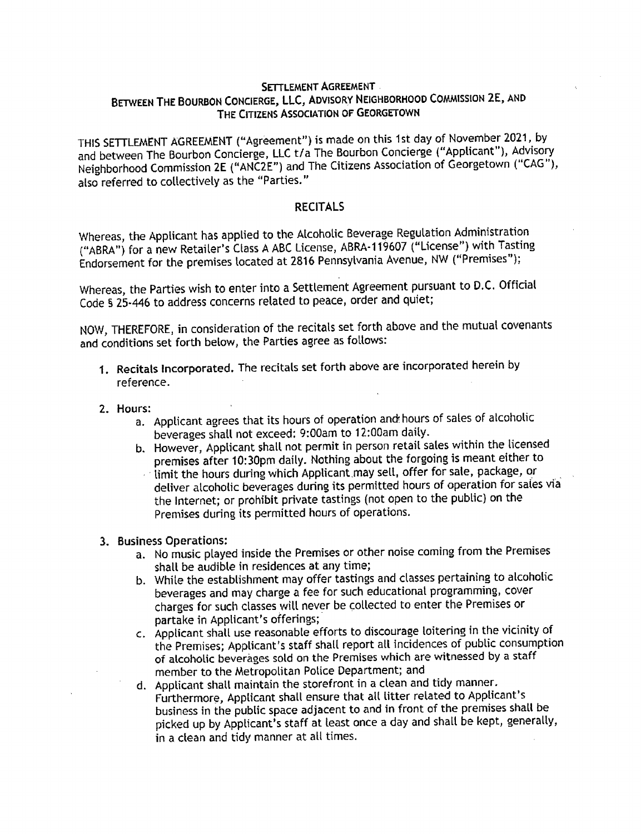## **SETTLEMENT AGREEMENT BETWEEN THE BOURBON CONCIERGE, LLC, ADVISORY NEIGHBORHOOD COMMISSION 2E, AND THE CITIZENS ASSOCIATION OF GEORGETOWN**

THIS SETTLEMENT AGREEMENT ("Agreement") is made on this 1st day of November 2021, by and between The Bourbon Concierge, LLC t/a The Bourbon Concierge ("Applicant"), Advisory Neighborhood Commission **2E** ("ANC2E") and The Citizens Association of Georgetown ("CAG"), also referred to collectively as the "Parties."

## **RECITALS**

Whereas, the Applicant has applied to the Alcoholic Beverage Regulation Administration ("ABRA") for a new Retailer's Class A ABC License, ABRA-119607 ("License") with Tasting Endorsement for the premises located at 2816 Pennsylvania Avenue, NW ("Premises''};

Whereas, the Parties wish to enter into a Settlement Agreement pursuant to D.C. Official Code§ 25-446 to address concerns related to peace, order and quiet;

NOW, THEREFORE, in consideration of the recitals set forth above and the mutual covenants and conditions set forth below, the Parties agree as follows:

- 1. Recitals Incorporated. The recitals set forth above are incorporated herein by reference.
- **2. Hours:** 
	- a. Applicant agrees that its hours of operation and hours of sales of alcoholic beverages shall not exceed: 9:00am to 12:00am daily.
	- b. However, Applicant shall not permit in person retail sales within the licensed premises after 10:30pm daily. Nothing about the forgoing is meant either to
		- limit the hours during which Applicant may sell, offer for sale, package, or deliver alcoholic beverages during its permitted hours of operation for sales via the Internet; or prohibit private tastings (not open to the public} on the Premises during its permitted hours of operations.
- **3. Business Operations:** 
	- a. No music played inside the Premises or other noise coming from the Premises shall be audible in residences at any time;
	- b. While the establishment may offer tastings and classes pertaining to alcoholic beverages and may charge a fee for such educational programming, cover charges for such classes will never be collected to enter the Premises or partake in Applicant's offerings;
	- c. Applicant shall use reasonable efforts to discourage loitering in the vicinity of the Premises; Applicant's staff shall report all incidences of public consumption of alcoholic beverages sold on the Premises which are witnessed by a staff member to the Metropolitan Police Department; an<sup>d</sup>
	- d. Applicant shall maintain the storefront in a clean and tidy manner. Furthermore, Applicant shall ensure that all litter related to Applicant's business in the public space adjacent to and in front of the premises shall be <sup>p</sup>icked up by Applicant's staff at least once a day and shall be kept, generally, in a clean and tidy manner at all times.